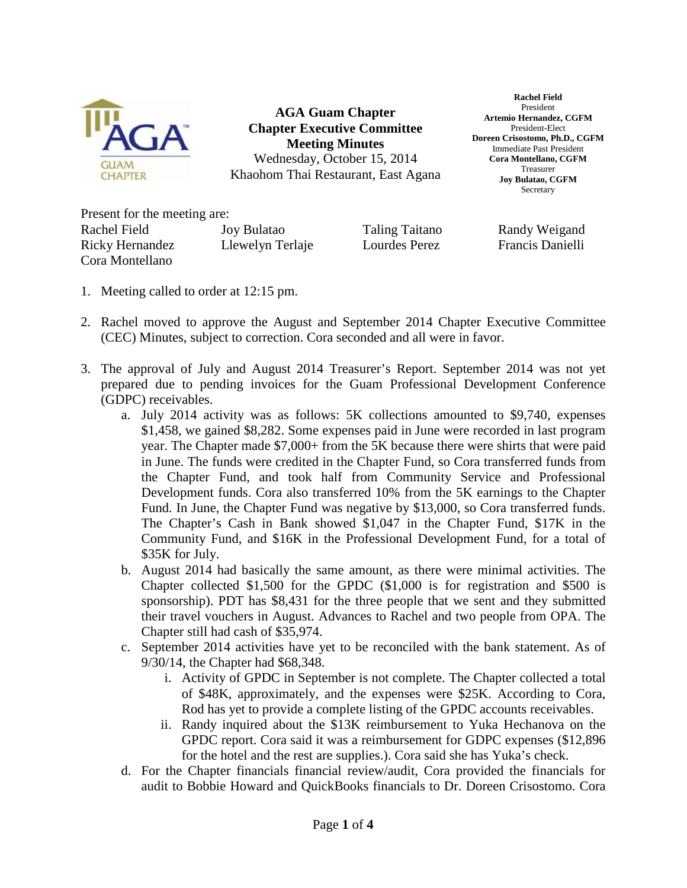

**AGA Guam Chapter Chapter Executive Committee Meeting Minutes** Wednesday, October 15, 2014 Khaohom Thai Restaurant, East Agana

**Rachel Field**  President **Artemio Hernandez, CGFM**  President-Elect **Doreen Crisostomo, Ph.D., CGFM**  Immediate Past President **Cora Montellano, CGFM**  Treasurer **Joy Bulatao, CGFM Secretary** 

Present for the meeting are: Rachel Field Joy Bulatao Taling Taitano Randy Weigand Ricky Hernandez Llewelyn Terlaje Lourdes Perez Francis Danielli Cora Montellano

- 1. Meeting called to order at 12:15 pm.
- 2. Rachel moved to approve the August and September 2014 Chapter Executive Committee (CEC) Minutes, subject to correction. Cora seconded and all were in favor.
- 3. The approval of July and August 2014 Treasurer's Report. September 2014 was not yet prepared due to pending invoices for the Guam Professional Development Conference (GDPC) receivables.
	- a. July 2014 activity was as follows: 5K collections amounted to \$9,740, expenses \$1,458, we gained \$8,282. Some expenses paid in June were recorded in last program year. The Chapter made \$7,000+ from the 5K because there were shirts that were paid in June. The funds were credited in the Chapter Fund, so Cora transferred funds from the Chapter Fund, and took half from Community Service and Professional Development funds. Cora also transferred 10% from the 5K earnings to the Chapter Fund. In June, the Chapter Fund was negative by \$13,000, so Cora transferred funds. The Chapter's Cash in Bank showed \$1,047 in the Chapter Fund, \$17K in the Community Fund, and \$16K in the Professional Development Fund, for a total of \$35K for July.
	- b. August 2014 had basically the same amount, as there were minimal activities. The Chapter collected \$1,500 for the GPDC (\$1,000 is for registration and \$500 is sponsorship). PDT has \$8,431 for the three people that we sent and they submitted their travel vouchers in August. Advances to Rachel and two people from OPA. The Chapter still had cash of \$35,974.
	- c. September 2014 activities have yet to be reconciled with the bank statement. As of 9/30/14, the Chapter had \$68,348.
		- i. Activity of GPDC in September is not complete. The Chapter collected a total of \$48K, approximately, and the expenses were \$25K. According to Cora, Rod has yet to provide a complete listing of the GPDC accounts receivables.
		- ii. Randy inquired about the \$13K reimbursement to Yuka Hechanova on the GPDC report. Cora said it was a reimbursement for GDPC expenses (\$12,896 for the hotel and the rest are supplies.). Cora said she has Yuka's check.
	- d. For the Chapter financials financial review/audit, Cora provided the financials for audit to Bobbie Howard and QuickBooks financials to Dr. Doreen Crisostomo. Cora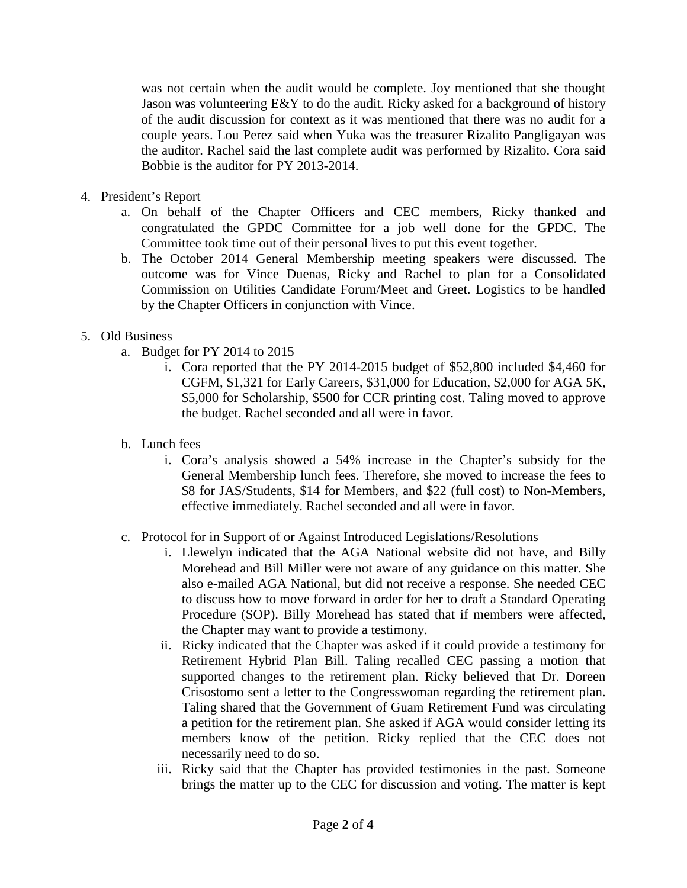was not certain when the audit would be complete. Joy mentioned that she thought Jason was volunteering E&Y to do the audit. Ricky asked for a background of history of the audit discussion for context as it was mentioned that there was no audit for a couple years. Lou Perez said when Yuka was the treasurer Rizalito Pangligayan was the auditor. Rachel said the last complete audit was performed by Rizalito. Cora said Bobbie is the auditor for PY 2013-2014.

- 4. President's Report
	- a. On behalf of the Chapter Officers and CEC members, Ricky thanked and congratulated the GPDC Committee for a job well done for the GPDC. The Committee took time out of their personal lives to put this event together.
	- b. The October 2014 General Membership meeting speakers were discussed. The outcome was for Vince Duenas, Ricky and Rachel to plan for a Consolidated Commission on Utilities Candidate Forum/Meet and Greet. Logistics to be handled by the Chapter Officers in conjunction with Vince.

## 5. Old Business

- a. Budget for PY 2014 to 2015
	- i. Cora reported that the PY 2014-2015 budget of \$52,800 included \$4,460 for CGFM, \$1,321 for Early Careers, \$31,000 for Education, \$2,000 for AGA 5K, \$5,000 for Scholarship, \$500 for CCR printing cost. Taling moved to approve the budget. Rachel seconded and all were in favor.
- b. Lunch fees
	- i. Cora's analysis showed a 54% increase in the Chapter's subsidy for the General Membership lunch fees. Therefore, she moved to increase the fees to \$8 for JAS/Students, \$14 for Members, and \$22 (full cost) to Non-Members, effective immediately. Rachel seconded and all were in favor.
- c. Protocol for in Support of or Against Introduced Legislations/Resolutions
	- i. Llewelyn indicated that the AGA National website did not have, and Billy Morehead and Bill Miller were not aware of any guidance on this matter. She also e-mailed AGA National, but did not receive a response. She needed CEC to discuss how to move forward in order for her to draft a Standard Operating Procedure (SOP). Billy Morehead has stated that if members were affected, the Chapter may want to provide a testimony.
	- ii. Ricky indicated that the Chapter was asked if it could provide a testimony for Retirement Hybrid Plan Bill. Taling recalled CEC passing a motion that supported changes to the retirement plan. Ricky believed that Dr. Doreen Crisostomo sent a letter to the Congresswoman regarding the retirement plan. Taling shared that the Government of Guam Retirement Fund was circulating a petition for the retirement plan. She asked if AGA would consider letting its members know of the petition. Ricky replied that the CEC does not necessarily need to do so.
	- iii. Ricky said that the Chapter has provided testimonies in the past. Someone brings the matter up to the CEC for discussion and voting. The matter is kept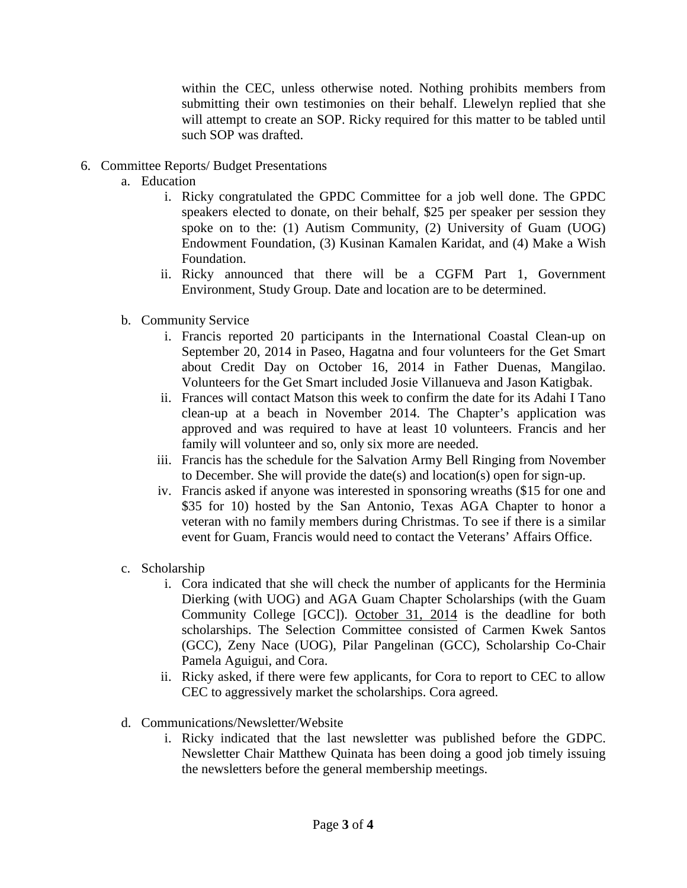within the CEC, unless otherwise noted. Nothing prohibits members from submitting their own testimonies on their behalf. Llewelyn replied that she will attempt to create an SOP. Ricky required for this matter to be tabled until such SOP was drafted.

- 6. Committee Reports/ Budget Presentations
	- a. Education
		- i. Ricky congratulated the GPDC Committee for a job well done. The GPDC speakers elected to donate, on their behalf, \$25 per speaker per session they spoke on to the: (1) Autism Community, (2) University of Guam (UOG) Endowment Foundation, (3) Kusinan Kamalen Karidat, and (4) Make a Wish Foundation.
		- ii. Ricky announced that there will be a CGFM Part 1, Government Environment, Study Group. Date and location are to be determined.
	- b. Community Service
		- i. Francis reported 20 participants in the International Coastal Clean-up on September 20, 2014 in Paseo, Hagatna and four volunteers for the Get Smart about Credit Day on October 16, 2014 in Father Duenas, Mangilao. Volunteers for the Get Smart included Josie Villanueva and Jason Katigbak.
		- ii. Frances will contact Matson this week to confirm the date for its Adahi I Tano clean-up at a beach in November 2014. The Chapter's application was approved and was required to have at least 10 volunteers. Francis and her family will volunteer and so, only six more are needed.
		- iii. Francis has the schedule for the Salvation Army Bell Ringing from November to December. She will provide the date(s) and location(s) open for sign-up.
		- iv. Francis asked if anyone was interested in sponsoring wreaths (\$15 for one and \$35 for 10) hosted by the San Antonio, Texas AGA Chapter to honor a veteran with no family members during Christmas. To see if there is a similar event for Guam, Francis would need to contact the Veterans' Affairs Office.
	- c. Scholarship
		- i. Cora indicated that she will check the number of applicants for the Herminia Dierking (with UOG) and AGA Guam Chapter Scholarships (with the Guam Community College [GCC]). October 31, 2014 is the deadline for both scholarships. The Selection Committee consisted of Carmen Kwek Santos (GCC), Zeny Nace (UOG), Pilar Pangelinan (GCC), Scholarship Co-Chair Pamela Aguigui, and Cora.
		- ii. Ricky asked, if there were few applicants, for Cora to report to CEC to allow CEC to aggressively market the scholarships. Cora agreed.
	- d. Communications/Newsletter/Website
		- i. Ricky indicated that the last newsletter was published before the GDPC. Newsletter Chair Matthew Quinata has been doing a good job timely issuing the newsletters before the general membership meetings.